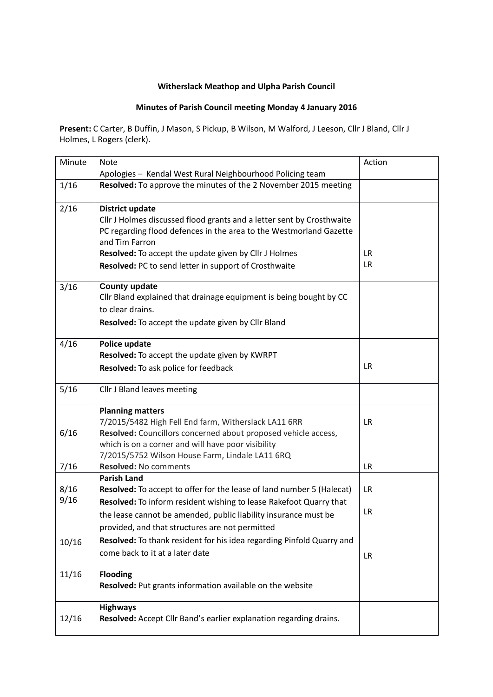## **Witherslack Meathop and Ulpha Parish Council**

## **Minutes of Parish Council meeting Monday 4 January 2016**

**Present:** C Carter, B Duffin, J Mason, S Pickup, B Wilson, M Walford, J Leeson, Cllr J Bland, Cllr J Holmes, L Rogers (clerk).

| Minute       | <b>Note</b>                                                                                                                                                                                                                                                                                               | Action           |
|--------------|-----------------------------------------------------------------------------------------------------------------------------------------------------------------------------------------------------------------------------------------------------------------------------------------------------------|------------------|
|              | Apologies - Kendal West Rural Neighbourhood Policing team                                                                                                                                                                                                                                                 |                  |
| 1/16         | Resolved: To approve the minutes of the 2 November 2015 meeting                                                                                                                                                                                                                                           |                  |
| 2/16         | <b>District update</b><br>Cllr J Holmes discussed flood grants and a letter sent by Crosthwaite<br>PC regarding flood defences in the area to the Westmorland Gazette<br>and Tim Farron<br>Resolved: To accept the update given by Cllr J Holmes<br>Resolved: PC to send letter in support of Crosthwaite | LR.<br><b>LR</b> |
| 3/16         | <b>County update</b><br>Cllr Bland explained that drainage equipment is being bought by CC<br>to clear drains.<br><b>Resolved:</b> To accept the update given by Cllr Bland                                                                                                                               |                  |
| 4/16         | Police update<br>Resolved: To accept the update given by KWRPT<br>Resolved: To ask police for feedback                                                                                                                                                                                                    | <b>LR</b>        |
| 5/16         | Cllr J Bland leaves meeting                                                                                                                                                                                                                                                                               |                  |
| 6/16         | <b>Planning matters</b><br>7/2015/5482 High Fell End farm, Witherslack LA11 6RR<br>Resolved: Councillors concerned about proposed vehicle access,<br>which is on a corner and will have poor visibility<br>7/2015/5752 Wilson House Farm, Lindale LA11 6RQ                                                | LR.              |
| 7/16         | <b>Resolved: No comments</b>                                                                                                                                                                                                                                                                              | <b>LR</b>        |
| 8/16<br>9/16 | <b>Parish Land</b><br>Resolved: To accept to offer for the lease of land number 5 (Halecat)<br>Resolved: To inform resident wishing to lease Rakefoot Quarry that<br>the lease cannot be amended, public liability insurance must be                                                                      | LR.<br>LR        |
| 10/16        | provided, and that structures are not permitted<br>Resolved: To thank resident for his idea regarding Pinfold Quarry and<br>come back to it at a later date                                                                                                                                               | <b>LR</b>        |
| 11/16        | <b>Flooding</b><br>Resolved: Put grants information available on the website                                                                                                                                                                                                                              |                  |
| 12/16        | <b>Highways</b><br>Resolved: Accept Cllr Band's earlier explanation regarding drains.                                                                                                                                                                                                                     |                  |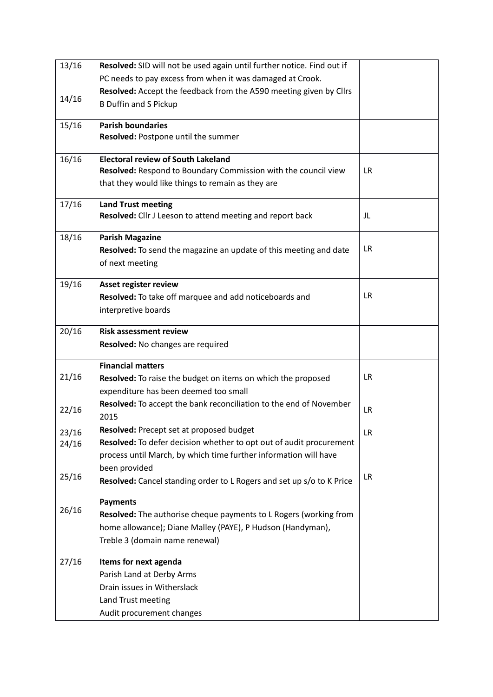| 13/16 | Resolved: SID will not be used again until further notice. Find out if |           |
|-------|------------------------------------------------------------------------|-----------|
|       | PC needs to pay excess from when it was damaged at Crook.              |           |
|       | Resolved: Accept the feedback from the A590 meeting given by Cllrs     |           |
| 14/16 | <b>B Duffin and S Pickup</b>                                           |           |
| 15/16 | <b>Parish boundaries</b>                                               |           |
|       | Resolved: Postpone until the summer                                    |           |
| 16/16 | <b>Electoral review of South Lakeland</b>                              |           |
|       | Resolved: Respond to Boundary Commission with the council view         | <b>LR</b> |
|       | that they would like things to remain as they are                      |           |
| 17/16 | <b>Land Trust meeting</b>                                              |           |
|       | Resolved: Cllr J Leeson to attend meeting and report back              | JL        |
| 18/16 | <b>Parish Magazine</b>                                                 |           |
|       | Resolved: To send the magazine an update of this meeting and date      | LR.       |
|       | of next meeting                                                        |           |
| 19/16 | Asset register review                                                  |           |
|       | Resolved: To take off marquee and add noticeboards and                 | LR.       |
|       | interpretive boards                                                    |           |
| 20/16 | <b>Risk assessment review</b>                                          |           |
|       | Resolved: No changes are required                                      |           |
|       | <b>Financial matters</b>                                               |           |
| 21/16 | Resolved: To raise the budget on items on which the proposed           | <b>LR</b> |
|       | expenditure has been deemed too small                                  |           |
|       | Resolved: To accept the bank reconciliation to the end of November     |           |
| 22/16 | 2015                                                                   | <b>LR</b> |
| 23/16 | Resolved: Precept set at proposed budget                               | LR        |
| 24/16 | Resolved: To defer decision whether to opt out of audit procurement    |           |
|       | process until March, by which time further information will have       |           |
|       | been provided                                                          |           |
| 25/16 | Resolved: Cancel standing order to L Rogers and set up s/o to K Price  | LR.       |
|       | <b>Payments</b>                                                        |           |
| 26/16 | Resolved: The authorise cheque payments to L Rogers (working from      |           |
|       |                                                                        |           |
|       | home allowance); Diane Malley (PAYE), P Hudson (Handyman),             |           |
|       | Treble 3 (domain name renewal)                                         |           |
|       |                                                                        |           |
| 27/16 | Items for next agenda                                                  |           |
|       | Parish Land at Derby Arms                                              |           |
|       | Drain issues in Witherslack                                            |           |
|       | Land Trust meeting<br>Audit procurement changes                        |           |